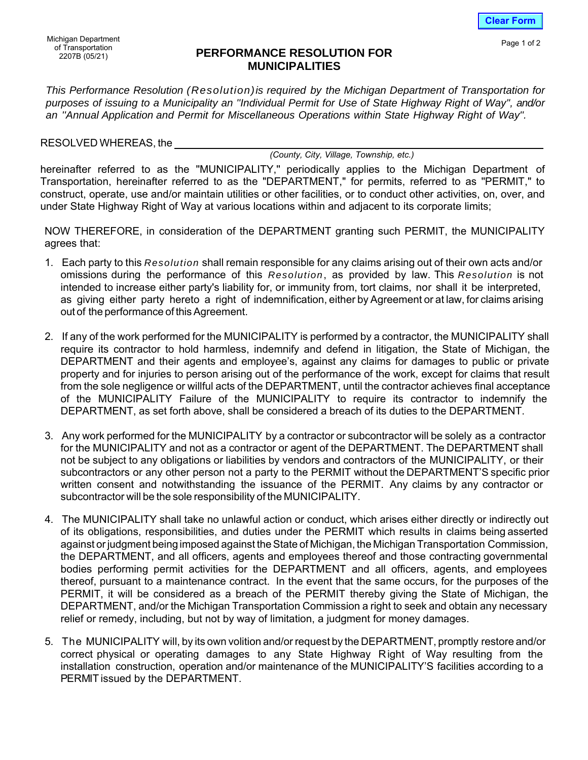*This Performance Resolution (Resolution)is required by the Michigan Department of Transportation for purposes of issuing to a Municipality an ''Individual Permit for Use of State Highway Right of Way'', and/or an ''Annual Application and Permit for Miscellaneous Operations within State Highway Right of Way''.*

RESOLVED WHEREAS, the

*(County, City, Village, Township, etc.)* 

hereinafter referred to as the "MUNICIPALITY," periodically applies to the Michigan Department of Transportation, hereinafter referred to as the "DEPARTMENT," for permits, referred to as ''PERMIT,'' to construct, operate, use and/or maintain utilities or other facilities, or to conduct other activities, on, over, and under State Highway Right of Way at various locations within and adjacent to its corporate limits;

NOW THEREFORE, in consideration of the DEPARTMENT granting such PERMIT, the MUNICIPALITY agrees that:

- 1. Each party to this *Resolution* shall remain responsible for any claims arising out of their own acts and/or omissions during the performance of this *Resolution*, as provided by law. This *Resolution* is not intended to increase either party's liability for, or immunity from, tort claims, nor shall it be interpreted, as giving either party hereto a right of indemnification, either by Agreement or at law, for claims arising out of the performance of this Agreement.
- 2. If any of the work performed for the MUNICIPALITY is performed by a contractor, the MUNICIPALITY shall require its contractor to hold harmless, indemnify and defend in litigation, the State of Michigan, the DEPARTMENT and their agents and employee's, against any claims for damages to public or private property and for injuries to person arising out of the performance of the work, except for claims that result from the sole negligence or willful acts of the DEPARTMENT, until the contractor achieves final acceptance of the MUNICIPALITY Failure of the MUNICIPALITY to require its contractor to indemnify the DEPARTMENT, as set forth above, shall be considered a breach of its duties to the DEPARTMENT.
- 3. Any work performed for the MUNICIPALITY by a contractor or subcontractor will be solely as a contractor for the MUNICIPALITY and not as a contractor or agent of the DEPARTMENT. The DEPARTMENT shall not be subject to any obligations or liabilities by vendors and contractors of the MUNICIPALITY, or their subcontractors or any other person not a party to the PERMIT without the DEPARTMENT'S specific prior written consent and notwithstanding the issuance of the PERMIT. Any claims by any contractor or subcontractor will be the sole responsibility of the MUNICIPALITY.
- 4. The MUNICIPALITY shall take no unlawful action or conduct, which arises either directly or indirectly out of its obligations, responsibilities, and duties under the PERMIT which results in claims being asserted against or judgment being imposed against the State of Michigan, the Michigan Transportation Commission, the DEPARTMENT, and all officers, agents and employees thereof and those contracting governmental bodies performing permit activities for the DEPARTMENT and all officers, agents, and employees thereof, pursuant to a maintenance contract. In the event that the same occurs, for the purposes of the PERMIT, it will be considered as a breach of the PERMIT thereby giving the State of Michigan, the DEPARTMENT, and/or the Michigan Transportation Commission a right to seek and obtain any necessary relief or remedy, including, but not by way of limitation, a judgment for money damages.
- 5. The MUNICIPALITY will, by its own volition and/or request by the DEPARTMENT, promptly restore and/or correct physical or operating damages to any State Highway Right of Way resulting from the installation construction, operation and/or maintenance of the MUNICIPALITY'S facilities according to a PERMIT issued by the DEPARTMENT.